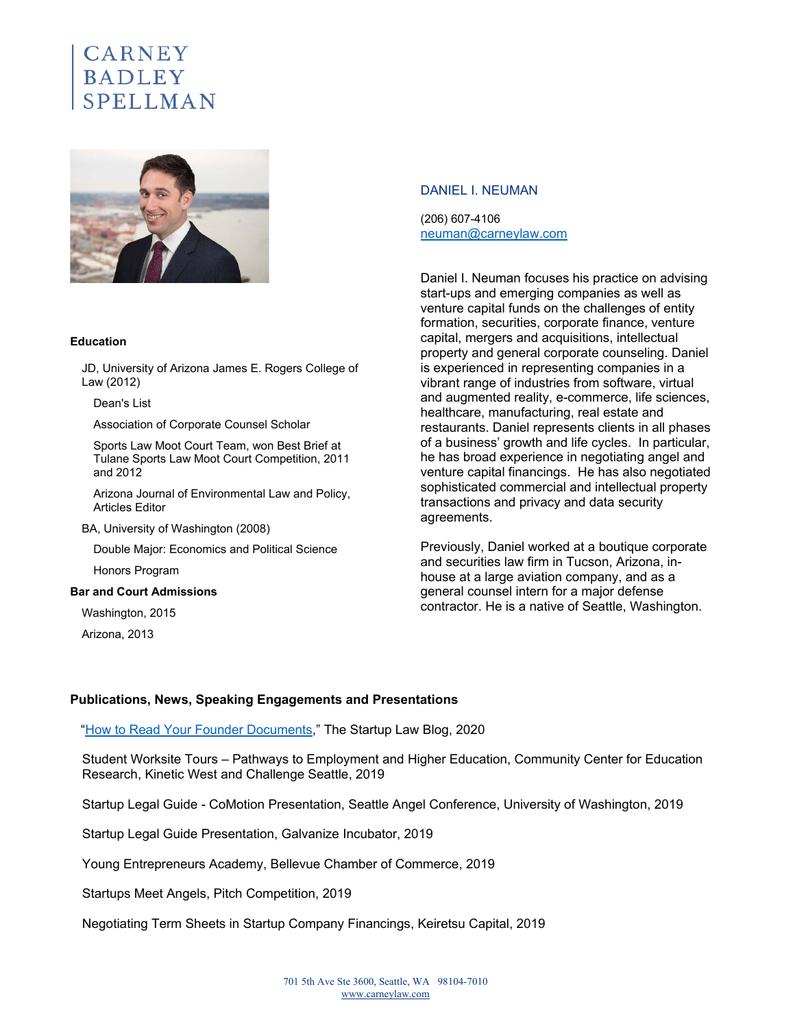# $\text{{\tt CARN}}{\mathrm{E}}{\mathrm{Y}}$ BADLEY



#### **Education**

JD, University of Arizona James E. Rogers College of Law (2012)

Dean's List

Association of Corporate Counsel Scholar

Sports Law Moot Court Team, won Best Brief at Tulane Sports Law Moot Court Competition, 2011 and 2012

Arizona Journal of Environmental Law and Policy, Articles Editor

BA, University of Washington (2008)

Double Major: Economics and Political Science

Honors Program

#### **Bar and Court Admissions**

Washington, 2015

Arizona, 2013

#### DANIEL I. NEUMAN

(206) 607-4106 neuman@carneylaw.com

Daniel I. Neuman focuses his practice on advising start-ups and emerging companies as well as venture capital funds on the challenges of entity formation, securities, corporate finance, venture capital, mergers and acquisitions, intellectual property and general corporate counseling. Daniel is experienced in representing companies in a vibrant range of industries from software, virtual and augmented reality, e-commerce, life sciences, healthcare, manufacturing, real estate and restaurants. Daniel represents clients in all phases of a business' growth and life cycles. In particular, he has broad experience in negotiating angel and venture capital financings. He has also negotiated sophisticated commercial and intellectual property transactions and privacy and data security agreements.

Previously, Daniel worked at a boutique corporate and securities law firm in Tucson, Arizona, inhouse at a large aviation company, and as a general counsel intern for a major defense contractor. He is a native of Seattle, Washington.

#### **Publications, News, Speaking Engagements and Presentations**

"How to Read Your Founder Documents," The Startup Law Blog, 2020

Student Worksite Tours – Pathways to Employment and Higher Education, Community Center for Education Research, Kinetic West and Challenge Seattle, 2019

Startup Legal Guide - CoMotion Presentation, Seattle Angel Conference, University of Washington, 2019

Startup Legal Guide Presentation, Galvanize Incubator, 2019

Young Entrepreneurs Academy, Bellevue Chamber of Commerce, 2019

Startups Meet Angels, Pitch Competition, 2019

Negotiating Term Sheets in Startup Company Financings, Keiretsu Capital, 2019